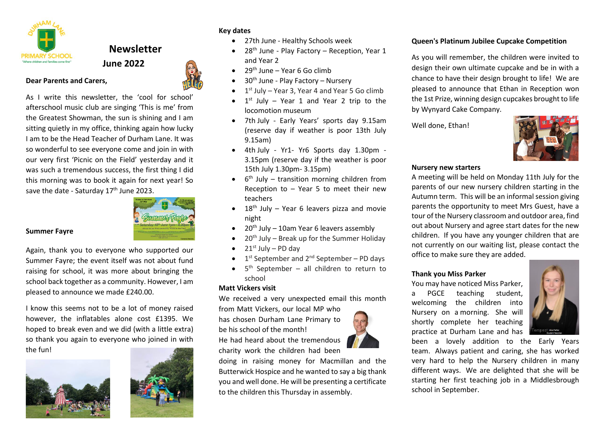

**Dear Parents and Carers,** 

# **Newsletter June 2022**



As I write this newsletter, the 'cool for school' afterschool music club are singing 'This is me' from the Greatest Showman, the sun is shining and I am sitting quietly in my office, thinking again how lucky I am to be the Head Teacher of Durham Lane. It was so wonderful to see everyone come and join in with our very first 'Picnic on the Field' yesterday and it was such a tremendous success, the first thing I did this morning was to book it again for next year! So save the date - Saturday  $17<sup>th</sup>$  June 2023.



## **Summer Fayre**

Again, thank you to everyone who supported our Summer Fayre; the event itself was not about fund raising for school, it was more about bringing the school back together as a community. However, I am pleased to announce we made £240.00.

I know this seems not to be a lot of money raised however, the inflatables alone cost £1395. We hoped to break even and we did (with a little extra) so thank you again to everyone who joined in with the fun!





#### **Key dates**

- 27th June Healthy Schools week
- 28<sup>th</sup> June Play Factory Reception, Year 1 and Year 2
- $29<sup>th</sup>$  June Year 6 Go climb
- 30th June Play Factory Nursery
- $\bullet$  1<sup>st</sup> July Year 3, Year 4 and Year 5 Go climb
- $\bullet$  1<sup>st</sup> July Year 1 and Year 2 trip to the locomotion museum
- 7th July Early Years' sports day 9.15am (reserve day if weather is poor 13th July 9.15am)
- 4th July Yr1- Yr6 Sports day 1.30pm 3.15pm (reserve day if the weather is poor 15th July 1.30pm- 3.15pm)
- 6<sup>th</sup> July transition morning children from Reception to  $-$  Year 5 to meet their new teachers
- $\bullet$  18<sup>th</sup> July Year 6 leavers pizza and movie night
- $\bullet$  20<sup>th</sup> July 10am Year 6 leavers assembly
- $\bullet$  20<sup>th</sup> July Break up for the Summer Holiday
- $\bullet$  21st July PD day
- $\bullet$  1<sup>st</sup> September and 2<sup>nd</sup> September PD days
- $\bullet$  5<sup>th</sup> September all children to return to school

#### **Matt Vickers visit**

We received a very unexpected email this month

from Matt Vickers, our local MP who has chosen Durham Lane Primary to be his school of the month! He had heard about the tremendous

charity work the children had been

doing in raising money for Macmillan and the Butterwick Hospice and he wanted to say a big thank you and well done. He will be presenting a certificate to the children this Thursday in assembly.

## **Queen's Platinum Jubilee Cupcake Competition**

As you will remember, the children were invited to design their own ultimate cupcake and be in with a chance to have their design brought to life! We are pleased to announce that Ethan in Reception won the 1st Prize, winning design cupcakes brought to life by Wynyard Cake Company.

Well done, Ethan!



#### **Nursery new starters**

A meeting will be held on Monday 11th July for the parents of our new nursery children starting in the Autumn term. This will be an informal session giving parents the opportunity to meet Mrs Guest, have a tour of the Nursery classroom and outdoor area, find out about Nursery and agree start dates for the new children. If you have any younger children that are not currently on our waiting list, please contact the office to make sure they are added.

## **Thank you Miss Parker**

You may have noticed Miss Parker, a PGCE teaching student, welcoming the children into Nursery on a morning. She will shortly complete her teaching practice at Durham Lane and has



been a lovely addition to the Early Years team. Always patient and caring, she has worked very hard to help the Nursery children in many different ways. We are delighted that she will be starting her first teaching job in a Middlesbrough school in September.